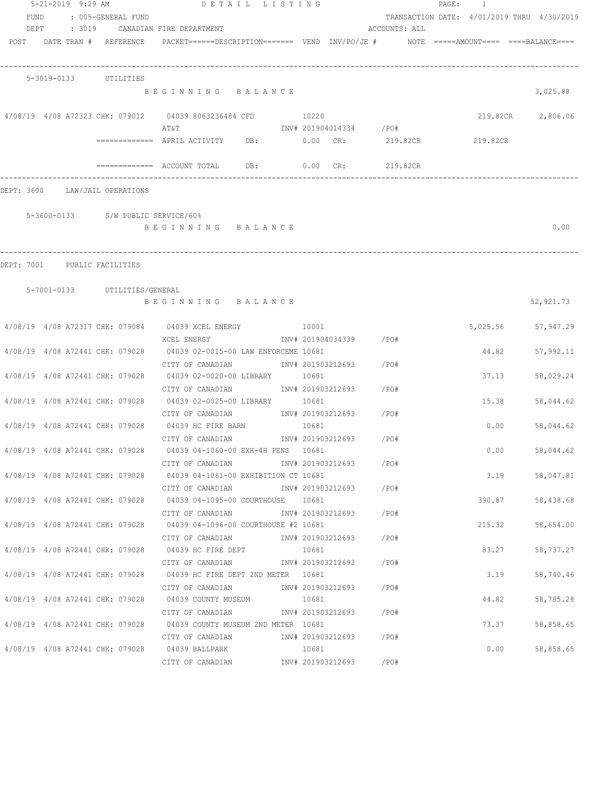|                                 | 5-21-2019 9:29 AM     |                               | DETAIL LISTING                                                                           |       |                        |                         | PAGE: 1 |                                            |
|---------------------------------|-----------------------|-------------------------------|------------------------------------------------------------------------------------------|-------|------------------------|-------------------------|---------|--------------------------------------------|
| FUND<br>DEPT                    |                       | : 005-GENERAL FUND            | : 3019 CANADIAN FIRE DEPARTMENT                                                          |       |                        | ACCOUNTS: ALL           |         | TRANSACTION DATE: 4/01/2019 THRU 4/30/2019 |
| POST DATE TRAN # REFERENCE      |                       |                               | PACKET======DESCRIPTION======== VEND INV/PO/JE # NOTE =====AMOUNT==== ====BALANCE====    |       |                        |                         |         |                                            |
|                                 | 5-3019-0133 UTILITIES |                               |                                                                                          |       |                        |                         |         |                                            |
|                                 |                       |                               | BEGINNING BALANCE                                                                        |       |                        |                         |         | 3,025.88                                   |
|                                 |                       |                               | 4/08/19 4/08 A72323 CHK: 079012 04039 8063236484 CFD<br>AT&T                             | 10220 |                        | INV# 201904014334 / PO# |         | 219.82CR 2,806.06                          |
|                                 |                       |                               | ============ APRIL ACTIVITY DB: 0.00 CR: 219.82CR 219.82CR                               |       |                        |                         |         |                                            |
|                                 |                       |                               | ============ ACCOUNT TOTAL DB: 0.00 CR: 219.82CR                                         |       |                        |                         |         |                                            |
| DEPT: 3600 LAW/JAIL OPERATIONS  |                       |                               |                                                                                          |       |                        |                         |         |                                            |
|                                 |                       |                               | 5-3600-0133 S/W PUBLIC SERVICE/60%                                                       |       |                        |                         |         |                                            |
|                                 |                       |                               | BEGINNING BALANCE                                                                        |       |                        |                         |         | 0.00                                       |
|                                 |                       |                               |                                                                                          |       |                        |                         |         |                                            |
| DEPT: 7001 PUBLIC FACILITIES    |                       |                               |                                                                                          |       |                        |                         |         |                                            |
|                                 |                       | 5-7001-0133 UTILITIES/GENERAL | BEGINNING BALANCE                                                                        |       |                        |                         |         | 52,921.73                                  |
|                                 |                       |                               | 4/08/19 4/08 A72317 CHK: 079084 04039 XCEL ENERGY 10001                                  |       |                        |                         |         | 5,025.56 57,947.29                         |
|                                 |                       |                               | XCEL ENERGY<br>4/08/19 4/08 A72441 CHK: 079028 04039 02-0015-00 LAW ENFORCEME 10681      |       | INV# 201904034339 /PO# |                         |         | 44.82<br>57,992.11                         |
| 4/08/19 4/08 A72441 CHK: 079028 |                       |                               | CITY OF CANADIAN<br>04039 02-0020-00 LIBRARY 10681                                       |       | INV# 201903212693 /PO# |                         |         | 37.13<br>58,029.24                         |
|                                 |                       |                               | CITY OF CANADIAN<br>4/08/19 4/08 A72441 CHK: 079028 04039 02-0025-00 LIBRARY 10681       |       | INV# 201903212693 /PO# |                         | 15.38   | 58,044.62                                  |
|                                 |                       |                               | CITY OF CANADIAN 1NV# 201903212693 / PO#                                                 |       |                        |                         |         |                                            |
|                                 |                       |                               | 4/08/19 4/08 A72441 CHK: 079028 04039 HC FIRE BARN<br>CITY OF CANADIAN                   | 10681 | INV# 201903212693      | /PO#                    | 0.00    | 58,044.62                                  |
|                                 |                       |                               | 4/08/19 4/08 A72441 CHK: 079028 04039 04-1060-00 EXH-4H PENS 10681                       |       |                        |                         |         | 0.00<br>58,044.62                          |
|                                 |                       |                               | CITY OF CANADIAN<br>4/08/19 4/08 A72441 CHK: 079028 04039 04-1061-00 EXHIBITION CT 10681 |       | INV# 201903212693 /PO# |                         |         | 3.19<br>58,047.81                          |
|                                 |                       |                               | CITY OF CANADIAN                                                                         |       | INV# 201903212693 /PO# |                         |         |                                            |
|                                 |                       |                               | 4/08/19 4/08 A72441 CHK: 079028 04039 04-1095-00 COURTHOUSE 10681<br>CITY OF CANADIAN    |       | INV# 201903212693      | / PO#                   |         | 390.87<br>58,438.68                        |
|                                 |                       |                               | 4/08/19 4/08 A72441 CHK: 079028 04039 04-1096-00 COURTHOUSE #2 10681                     |       |                        |                         |         | 215.32<br>58,654.00                        |
| 4/08/19 4/08 A72441 CHK: 079028 |                       |                               | CITY OF CANADIAN<br>04039 HC FIRE DEPT                                                   | 10681 | INV# 201903212693      | /PO#                    | 83.27   | 58,737.27                                  |
|                                 |                       |                               | CITY OF CANADIAN                                                                         |       | INV# 201903212693      | /PO#                    |         |                                            |
|                                 |                       |                               | 4/08/19 4/08 A72441 CHK: 079028 04039 HC FIRE DEPT 2ND METER 10681                       |       |                        |                         | 3.19    | 58,740.46                                  |
| 4/08/19 4/08 A72441 CHK: 079028 |                       |                               | CITY OF CANADIAN<br>04039 COUNTY MUSEUM                                                  | 10681 | INV# 201903212693      | /PO#                    | 44.82   | 58,785.28                                  |
|                                 |                       |                               | CITY OF CANADIAN                                                                         |       | INV# 201903212693      | /PO#                    |         |                                            |
|                                 |                       |                               | 4/08/19 4/08 A72441 CHK: 079028 04039 COUNTY MUSEUM 2ND METER 10681<br>CITY OF CANADIAN  |       | INV# 201903212693 /PO# |                         |         | 73.37<br>58,858.65                         |
|                                 |                       |                               | 4/08/19 4/08 A72441 CHK: 079028 04039 BALLPARK                                           | 10681 |                        |                         |         | 0.00<br>58,858.65                          |
|                                 |                       |                               | CITY OF CANADIAN                                                                         |       | INV# 201903212693      | /PO#                    |         |                                            |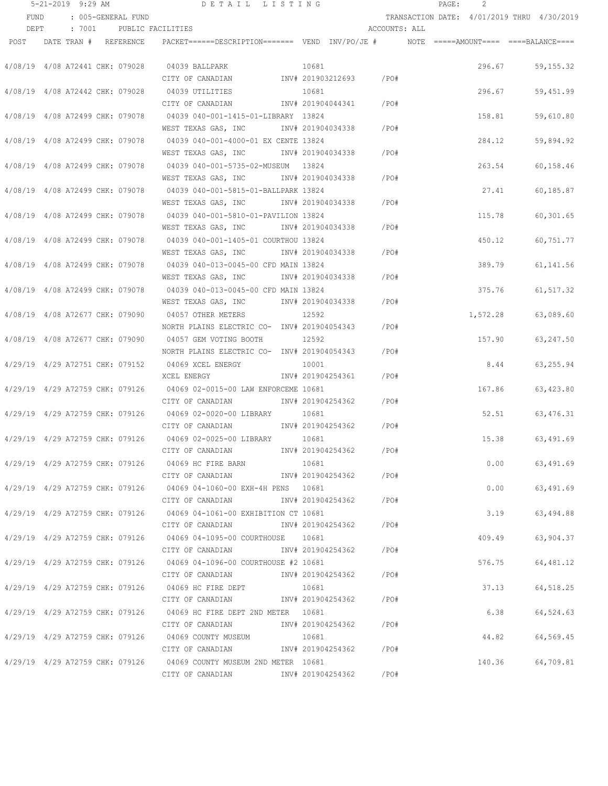|      | $5 - 21 - 2019$ 9:29 AM         |                          | DETAIL LISTING                                                         |                   |                         | PAGE: | 2                                          |      |                  |
|------|---------------------------------|--------------------------|------------------------------------------------------------------------|-------------------|-------------------------|-------|--------------------------------------------|------|------------------|
| FUND | : 005-GENERAL FUND              |                          |                                                                        |                   |                         |       | TRANSACTION DATE: 4/01/2019 THRU 4/30/2019 |      |                  |
| DEPT |                                 | : 7001 PUBLIC FACILITIES |                                                                        |                   | ACCOUNTS: ALL           |       |                                            |      |                  |
|      | POST DATE TRAN # REFERENCE      |                          |                                                                        |                   |                         |       |                                            |      |                  |
|      | 4/08/19 4/08 A72441 CHK: 079028 |                          | 04039 BALLPARK                                                         | 10681             |                         |       | 296.67                                     |      | 59, 155. 32      |
|      |                                 |                          | CITY OF CANADIAN              INV# 201903212693       /PO#             |                   |                         |       |                                            |      |                  |
|      | 4/08/19 4/08 A72442 CHK: 079028 |                          | 04039 UTILITIES                                                        | 10681             |                         |       | 296.67                                     |      | 59,451.99        |
|      |                                 |                          | CITY OF CANADIAN                                                       |                   | INV# 201904044341 /PO#  |       |                                            |      |                  |
|      | 4/08/19 4/08 A72499 CHK: 079078 |                          | 04039 040-001-1415-01-LIBRARY 13824                                    |                   |                         |       | 158.81                                     |      | 59,610.80        |
|      |                                 |                          | WEST TEXAS GAS, INC                                                    |                   | INV# 201904034338 /PO#  |       |                                            |      |                  |
|      | 4/08/19 4/08 A72499 CHK: 079078 |                          | 04039 040-001-4000-01 EX CENTE 13824                                   |                   |                         |       | 284.12                                     |      | 59,894.92        |
|      |                                 |                          | WEST TEXAS GAS, INC METH 201904034338                                  |                   | /PO#                    |       |                                            |      |                  |
|      | 4/08/19 4/08 A72499 CHK: 079078 |                          | 04039 040-001-5735-02-MUSEUM 13824                                     |                   |                         |       | 263.54                                     |      | 60,158.46        |
|      |                                 |                          | WEST TEXAS GAS, INC MONTH 201904034338                                 |                   | /PO#                    |       |                                            |      |                  |
|      | 4/08/19 4/08 A72499 CHK: 079078 |                          | 04039 040-001-5815-01-BALLPARK 13824                                   |                   |                         |       | 27.41                                      |      | 60,185.87        |
|      |                                 |                          | WEST TEXAS GAS, INC MOTH 201904034338 / PO#                            |                   |                         |       |                                            |      |                  |
|      | 4/08/19 4/08 A72499 CHK: 079078 |                          | 04039 040-001-5810-01-PAVILION 13824                                   |                   |                         |       | 115.78                                     |      | 60, 301.65       |
|      |                                 |                          | WEST TEXAS GAS, INC MOV# 201904034338 / PO#                            |                   |                         |       |                                            |      |                  |
|      | 4/08/19 4/08 A72499 CHK: 079078 |                          | 04039 040-001-1405-01 COURTHOU 13824                                   |                   |                         |       | 450.12                                     |      | 60,751.77        |
|      |                                 |                          | WEST TEXAS GAS, INC MOTH 201904034338 / PO#                            |                   |                         |       |                                            |      |                  |
|      |                                 |                          | 4/08/19 4/08 A72499 CHK: 079078 04039 040-013-0045-00 CFD MAIN 13824   |                   |                         |       | 389.79                                     |      | 61, 141.56       |
|      |                                 |                          | WEST TEXAS GAS, INC                                                    |                   | INV# 201904034338 /PO#  |       |                                            |      |                  |
|      | 4/08/19 4/08 A72499 CHK: 079078 |                          | 04039 040-013-0045-00 CFD MAIN 13824                                   |                   |                         |       | 375.76                                     |      | 61, 517.32       |
|      |                                 |                          | WEST TEXAS GAS, INC 1NV# 201904034338                                  |                   | /PO#                    |       |                                            |      |                  |
|      | 4/08/19 4/08 A72677 CHK: 079090 |                          | 04057 OTHER METERS                                                     | 12592             |                         |       | 1,572.28                                   |      | 63,089.60        |
|      |                                 |                          | NORTH PLAINS ELECTRIC CO- INV# 201904054343                            |                   | /PO#                    |       |                                            |      |                  |
|      | 4/08/19 4/08 A72677 CHK: 079090 |                          | 04057 GEM VOTING BOOTH                                                 | 12592             |                         |       | 157.90                                     |      | 63,247.50        |
|      |                                 |                          | NORTH PLAINS ELECTRIC CO- INV# 201904054343                            |                   | /PO#                    |       |                                            |      |                  |
|      | 4/29/19 4/29 A72751 CHK: 079152 |                          | 04069 XCEL ENERGY                                                      | 10001             |                         |       | 8.44                                       |      | 63,255.94        |
|      |                                 |                          | XCEL ENERGY                                                            | INV# 201904254361 | /PO#                    |       |                                            |      |                  |
|      | 4/29/19 4/29 A72759 CHK: 079126 |                          | 04069 02-0015-00 LAW ENFORCEME 10681                                   |                   |                         |       | 167.86                                     |      | 63,423.80        |
|      |                                 |                          | CITY OF CANADIAN                                                       |                   | INV# 201904254362 / PO# |       |                                            |      |                  |
|      |                                 |                          |                                                                        | 10681             |                         |       | 52.51                                      |      | 63,476.31        |
|      |                                 |                          | CITY OF CANADIAN MOTHOM INV# 201904254362                              |                   | /PO#                    |       |                                            |      |                  |
|      | 4/29/19 4/29 A72759 CHK: 079126 |                          | 04069 02-0025-00 LIBRARY 10681                                         | INV# 201904254362 |                         |       | 15.38                                      |      | 63,491.69        |
|      |                                 |                          | CITY OF CANADIAN<br>4/29/19 4/29 A72759 CHK: 079126 04069 HC FIRE BARN | 10681             | /PO#                    |       |                                            | 0.00 | 63,491.69        |
|      |                                 |                          | CITY OF CANADIAN                                                       |                   | INV# 201904254362 /PO#  |       |                                            |      |                  |
|      |                                 |                          | 4/29/19 4/29 A72759 CHK: 079126 04069 04-1060-00 EXH-4H PENS 10681     |                   |                         |       |                                            |      | $0.00$ 63,491.69 |
|      |                                 |                          | CITY OF CANADIAN                                                       |                   | INV# 201904254362 / PO# |       |                                            |      |                  |
|      |                                 |                          | 4/29/19 4/29 A72759 CHK: 079126 04069 04-1061-00 EXHIBITION CT 10681   |                   |                         |       |                                            | 3.19 | 63,494.88        |
|      |                                 |                          | CITY OF CANADIAN                                                       |                   | INV# 201904254362 /PO#  |       |                                            |      |                  |
|      |                                 |                          | 4/29/19 4/29 A72759 CHK: 079126 04069 04-1095-00 COURTHOUSE 10681      |                   |                         |       | 409.49                                     |      | 63,904.37        |
|      |                                 |                          | CITY OF CANADIAN                                                       |                   | INV# 201904254362 /PO#  |       |                                            |      |                  |
|      |                                 |                          | 4/29/19 4/29 A72759 CHK: 079126 04069 04-1096-00 COURTHOUSE #2 10681   |                   |                         |       | 576.75                                     |      | 64,481.12        |
|      |                                 |                          | CITY OF CANADIAN                                                       |                   | INV# 201904254362 / PO# |       |                                            |      |                  |
|      |                                 |                          | 4/29/19 4/29 A72759 CHK: 079126 04069 HC FIRE DEPT                     | 10681             |                         |       | 37.13                                      |      | 64,518.25        |
|      |                                 |                          | CITY OF CANADIAN                                                       |                   | INV# 201904254362 /PO#  |       |                                            |      |                  |
|      |                                 |                          | 4/29/19 4/29 A72759 CHK: 079126 04069 HC FIRE DEPT 2ND METER 10681     |                   |                         |       | 6.38                                       |      | 64,524.63        |
|      |                                 |                          | CITY OF CANADIAN                                                       |                   | INV# 201904254362 /PO#  |       |                                            |      |                  |
|      |                                 |                          | 4/29/19 4/29 A72759 CHK: 079126 04069 COUNTY MUSEUM                    | 10681             |                         |       | 44.82                                      |      | 64,569.45        |
|      |                                 |                          |                                                                        |                   |                         |       |                                            |      |                  |
|      |                                 |                          | 4/29/19 4/29 A72759 CHK: 079126 04069 COUNTY MUSEUM 2ND METER 10681    |                   |                         |       | 140.36                                     |      | 64,709.81        |
|      |                                 |                          | CITY OF CANADIAN              INV# 201904254362       /PO#             |                   |                         |       |                                            |      |                  |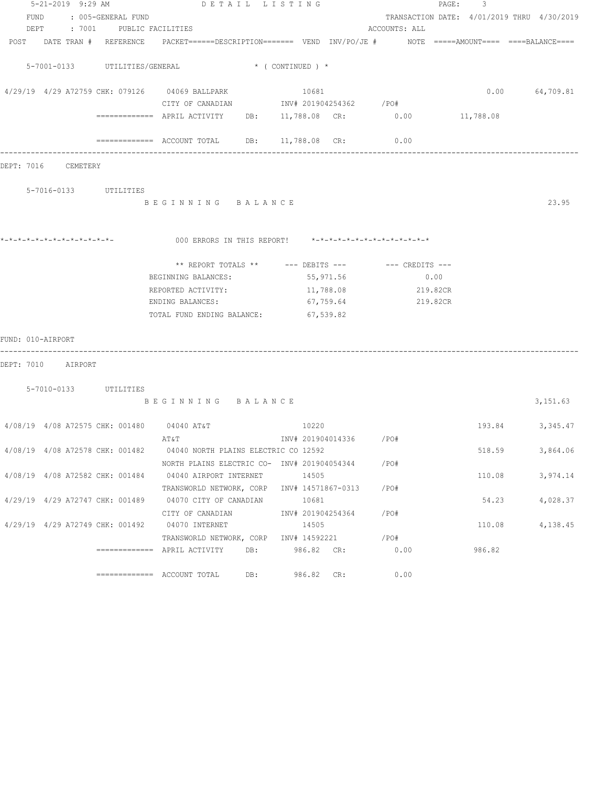|                   | 5-21-2019 9:29 AM               |                                 | DETAIL LISTING                                                                                                  |                        |               | 3<br>$\texttt{PAGE}$ :                     |                  |
|-------------------|---------------------------------|---------------------------------|-----------------------------------------------------------------------------------------------------------------|------------------------|---------------|--------------------------------------------|------------------|
|                   |                                 | FUND : 005-GENERAL FUND         |                                                                                                                 |                        |               | TRANSACTION DATE: 4/01/2019 THRU 4/30/2019 |                  |
|                   | DEPT                            | : 7001 PUBLIC FACILITIES        |                                                                                                                 |                        | ACCOUNTS: ALL |                                            |                  |
|                   |                                 |                                 | POST DATE TRAN # REFERENCE PACKET======DESCRIPTION======= VEND INV/PO/JE # NOTE =====AMOUNT==== ====BALANCE==== |                        |               |                                            |                  |
|                   |                                 |                                 |                                                                                                                 |                        |               |                                            |                  |
|                   |                                 | 5-7001-0133 UTILITIES/GENERAL   |                                                                                                                 | * ( CONTINUED ) *      |               |                                            |                  |
|                   |                                 |                                 |                                                                                                                 |                        |               |                                            |                  |
|                   |                                 |                                 | 4/29/19 4/29 A72759 CHK: 079126 04069 BALLPARK                                                                  | 10681                  |               |                                            | $0.00$ 64,709.81 |
|                   |                                 |                                 | CITY OF CANADIAN 1NV# 201904254362 / PO#                                                                        |                        |               |                                            |                  |
|                   |                                 |                                 | ============ APRIL ACTIVITY DB: 11,788.08 CR: 0.00 11,788.08                                                    |                        |               |                                            |                  |
|                   |                                 |                                 |                                                                                                                 |                        |               |                                            |                  |
|                   |                                 |                                 | ============= ACCOUNT TOTAL DB: 11,788.08 CR:                                                                   |                        | 0.00          |                                            |                  |
|                   |                                 |                                 |                                                                                                                 |                        |               |                                            |                  |
| DEPT: 7016        | CEMETERY                        |                                 |                                                                                                                 |                        |               |                                            |                  |
|                   |                                 |                                 |                                                                                                                 |                        |               |                                            |                  |
|                   | 5-7016-0133 UTILITIES           |                                 |                                                                                                                 |                        |               |                                            |                  |
|                   |                                 |                                 | BEGINNING BALANCE                                                                                               |                        |               |                                            | 23.95            |
|                   |                                 |                                 |                                                                                                                 |                        |               |                                            |                  |
|                   |                                 |                                 |                                                                                                                 |                        |               |                                            |                  |
|                   |                                 |                                 | 000 ERRORS IN THIS REPORT! *-*-*-*-*-*-*-*-*-*-*-*-*-*-                                                         |                        |               |                                            |                  |
|                   |                                 |                                 |                                                                                                                 |                        |               |                                            |                  |
|                   |                                 |                                 | ** REPORT TOTALS ** --- DEBITS --- -- CREDITS ---                                                               |                        |               |                                            |                  |
|                   |                                 |                                 | BEGINNING BALANCES:                                                                                             | 55,971.56              | 0.00          |                                            |                  |
|                   |                                 |                                 | REPORTED ACTIVITY:                                                                                              | 11,788.08              | 219.82CR      |                                            |                  |
|                   |                                 |                                 | ENDING BALANCES:                                                                                                | 67,759.64              | 219.82CR      |                                            |                  |
|                   |                                 |                                 | TOTAL FUND ENDING BALANCE:                                                                                      | 67,539.82              |               |                                            |                  |
|                   |                                 |                                 |                                                                                                                 |                        |               |                                            |                  |
| FUND: 010-AIRPORT |                                 |                                 |                                                                                                                 |                        |               |                                            |                  |
|                   |                                 |                                 |                                                                                                                 |                        |               |                                            |                  |
|                   | DEPT: 7010 AIRPORT              |                                 |                                                                                                                 |                        |               |                                            |                  |
|                   |                                 |                                 |                                                                                                                 |                        |               |                                            |                  |
|                   | 5-7010-0133 UTILITIES           |                                 |                                                                                                                 |                        |               |                                            |                  |
|                   |                                 |                                 | BEGINNING BALANCE                                                                                               |                        |               |                                            | 3,151.63         |
|                   |                                 |                                 |                                                                                                                 |                        |               |                                            |                  |
|                   |                                 |                                 | 4/08/19 4/08 A72575 CHK: 001480 04040 AT&T                                                                      | 10220                  |               |                                            | 193.84 3,345.47  |
|                   |                                 |                                 | AT&T                                                                                                            | INV# 201904014336 /PO# |               |                                            |                  |
|                   | 4/08/19 4/08 A72578 CHK: 001482 |                                 | 04040 NORTH PLAINS ELECTRIC CO 12592                                                                            |                        |               | 518.59                                     | 3,864.06         |
|                   |                                 |                                 | NORTH PLAINS ELECTRIC CO- INV# 201904054344                                                                     |                        | $/$ PO#       |                                            |                  |
|                   |                                 | 4/08/19 4/08 A72582 CHK: 001484 | 04040 AIRPORT INTERNET                                                                                          | 14505                  |               | 110.08                                     | 3,974.14         |
|                   |                                 |                                 | TRANSWORLD NETWORK, CORP INV# 14571867-0313                                                                     |                        | /PO#          |                                            |                  |
|                   |                                 | 4/29/19 4/29 A72747 CHK: 001489 | 04070 CITY OF CANADIAN                                                                                          | 10681                  |               | 54.23                                      | 4,028.37         |
|                   |                                 |                                 | CITY OF CANADIAN                                                                                                | INV# 201904254364      | /PO#          |                                            |                  |
|                   | 4/29/19 4/29 A72749 CHK: 001492 |                                 | 04070 INTERNET                                                                                                  | 14505                  |               | 110.08                                     | 4,138.45         |
|                   |                                 |                                 | TRANSWORLD NETWORK, CORP                                                                                        | INV# 14592221          | /PO#          |                                            |                  |
|                   |                                 |                                 | $=$ ============ APRIL ACTIVITY<br>DB:                                                                          | 986.82 CR:             | 0.00          | 986.82                                     |                  |
|                   |                                 |                                 |                                                                                                                 |                        |               |                                            |                  |
|                   |                                 |                                 | DB:                                                                                                             | 986.82 CR:             | 0.00          |                                            |                  |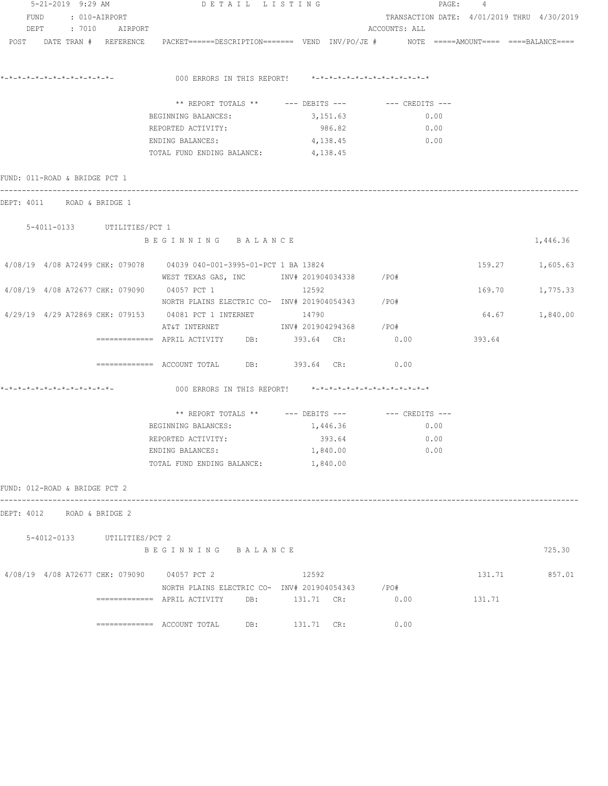| 5-21-2019 9:29 AM                           |                             | DETAIL LISTING                                                                                                                |                                                      | PAGE: 4                                    |        |                 |
|---------------------------------------------|-----------------------------|-------------------------------------------------------------------------------------------------------------------------------|------------------------------------------------------|--------------------------------------------|--------|-----------------|
| FUND : 010-AIRPORT                          |                             |                                                                                                                               |                                                      | TRANSACTION DATE: 4/01/2019 THRU 4/30/2019 |        |                 |
| DEPT : 7010 AIRPORT                         |                             |                                                                                                                               |                                                      | ACCOUNTS: ALL                              |        |                 |
|                                             |                             | POST DATE TRAN # REFERENCE PACKET======DESCRIPTION======= VEND INV/PO/JE # NOTE =====AMOUNT==== ====BALANCE====               |                                                      |                                            |        |                 |
|                                             |                             | 000 ERRORS IN THIS REPORT! *-*-*-*-*-*-*-*-*-*-*-*-*-*-                                                                       |                                                      |                                            |        |                 |
|                                             |                             |                                                                                                                               | ** REPORT TOTALS ** --- DEBITS --- -- -- CREDITS --- |                                            |        |                 |
|                                             |                             | BEGINNING BALANCES:                                                                                                           | 3,151.63                                             | 0.00                                       |        |                 |
|                                             |                             | REPORTED ACTIVITY:                                                                                                            | 986.82                                               | 0.00                                       |        |                 |
|                                             |                             | ENDING BALANCES:                                                                                                              | 4,138.45                                             | 0.00                                       |        |                 |
|                                             |                             | TOTAL FUND ENDING BALANCE: 4,138.45                                                                                           |                                                      |                                            |        |                 |
| FUND: 011-ROAD & BRIDGE PCT 1               |                             |                                                                                                                               |                                                      |                                            |        |                 |
| DEPT: 4011 ROAD & BRIDGE 1                  |                             |                                                                                                                               |                                                      |                                            |        |                 |
| 5-4011-0133 UTILITIES/PCT 1                 |                             |                                                                                                                               |                                                      |                                            |        |                 |
|                                             |                             | BEGINNING BALANCE                                                                                                             |                                                      |                                            |        | 1,446.36        |
|                                             |                             | 4/08/19 4/08 A72499 CHK: 079078 04039 040-001-3995-01-PCT 1 BA 13824<br>WEST TEXAS GAS, INC        INV# 201904034338     /PO# |                                                      |                                            |        | 159.27 1,605.63 |
| 4/08/19 4/08 A72677 CHK: 079090 04057 PCT 1 |                             | NORTH PLAINS ELECTRIC CO- INV# 201904054343 / PO#                                                                             | 12592                                                |                                            |        | 169.70 1,775.33 |
|                                             |                             | 4/29/19 4/29 A72869 CHK: 079153 04081 PCT 1 INTERNET 14790                                                                    |                                                      |                                            |        | 64.67 1,840.00  |
|                                             |                             | AT&T INTERNET                      INV# 201904294368       /PO#<br>============ APRIL ACTIVITY DB: 393.64 CR: 0.00            |                                                      |                                            | 393.64 |                 |
|                                             |                             | ============ ACCOUNT TOTAL DB: 393.64 CR: 0.00                                                                                |                                                      |                                            |        |                 |
| *-*-*-*-*-*-*-*-*-*-*-*-*-*-                |                             | 000 ERRORS IN THIS REPORT! *-*-*-*-*-*-*-*-*-*-*-*-*-*-                                                                       |                                                      |                                            |        |                 |
|                                             |                             |                                                                                                                               |                                                      |                                            |        |                 |
|                                             |                             | ** REPORT TOTALS ** --- DEBITS --- -- -- CREDITS ---                                                                          |                                                      |                                            |        |                 |
|                                             |                             | BEGINNING BALANCES:                                                                                                           | 1,446.36                                             | 0.00                                       |        |                 |
|                                             |                             | REPORTED ACTIVITY:                                                                                                            | 393.64                                               | 0.00                                       |        |                 |
|                                             |                             | ENDING BALANCES:                                                                                                              | 1,840.00                                             | 0.00                                       |        |                 |
|                                             |                             | TOTAL FUND ENDING BALANCE:                                                                                                    | 1,840.00                                             |                                            |        |                 |
| FUND: 012-ROAD & BRIDGE PCT 2               |                             |                                                                                                                               |                                                      |                                            |        |                 |
| DEPT: 4012 ROAD & BRIDGE 2                  |                             |                                                                                                                               |                                                      |                                            |        |                 |
|                                             | 5-4012-0133 UTILITIES/PCT 2 |                                                                                                                               |                                                      |                                            |        |                 |
|                                             |                             | BEGINNING BALANCE                                                                                                             |                                                      |                                            |        | 725.30          |
| 4/08/19 4/08 A72677 CHK: 079090 04057 PCT 2 |                             |                                                                                                                               | 12592                                                |                                            | 131.71 | 857.01          |
|                                             |                             | NORTH PLAINS ELECTRIC CO- INV# 201904054343 /PO#                                                                              |                                                      |                                            |        |                 |
|                                             |                             |                                                                                                                               |                                                      | 0.00                                       | 131.71 |                 |
|                                             |                             | $\texttt{-----}$ ============ ACCOUNT TOTAL DB: $\texttt{DB}$ : 131.71 CR:                                                    |                                                      | 0.00                                       |        |                 |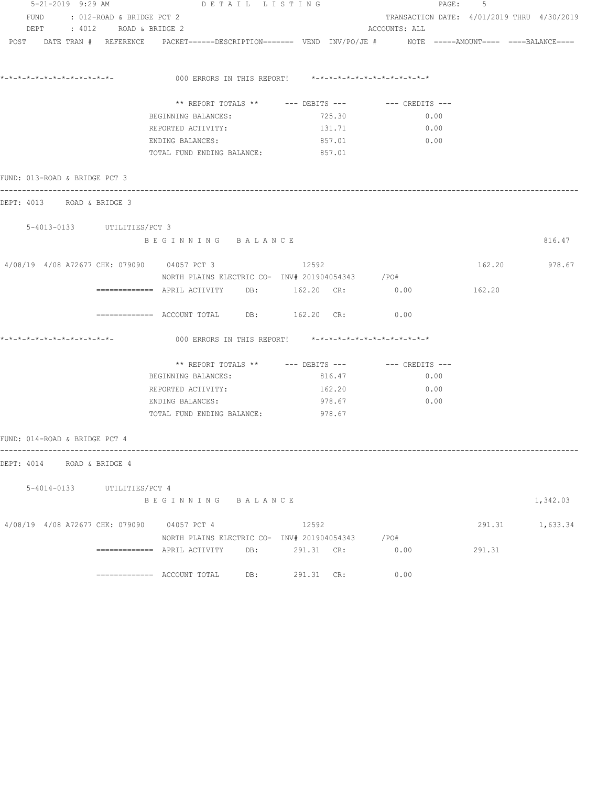| 5-21-2019 9:29 AM                           |                                | DETAIL LISTING                                                                                                  |            |               | PAGE: 5                                    |               |                 |
|---------------------------------------------|--------------------------------|-----------------------------------------------------------------------------------------------------------------|------------|---------------|--------------------------------------------|---------------|-----------------|
|                                             | FUND : 012-ROAD & BRIDGE PCT 2 |                                                                                                                 |            |               | TRANSACTION DATE: 4/01/2019 THRU 4/30/2019 |               |                 |
|                                             | DEPT : 4012 ROAD & BRIDGE 2    |                                                                                                                 |            | ACCOUNTS: ALL |                                            |               |                 |
|                                             |                                | POST DATE TRAN # REFERENCE PACKET======DESCRIPTION======= VEND INV/PO/JE # NOTE =====AMOUNT==== ====BALANCE==== |            |               |                                            |               |                 |
|                                             |                                |                                                                                                                 |            |               |                                            |               |                 |
|                                             |                                | 000 ERRORS IN THIS REPORT! *-*-*-*-*-*-*-*-*-*-*-*-*-*-                                                         |            |               |                                            |               |                 |
|                                             |                                | ** REPORT TOTALS ** --- DEBITS --- -- -- CREDITS ---                                                            |            |               |                                            |               |                 |
|                                             |                                | BEGINNING BALANCES:                                                                                             | 725.30     |               | 0.00                                       |               |                 |
|                                             |                                | REPORTED ACTIVITY:                                                                                              | 131.71     |               | 0.00                                       |               |                 |
|                                             |                                | ENDING BALANCES:                                                                                                | 857.01     |               | 0.00                                       |               |                 |
|                                             |                                | TOTAL FUND ENDING BALANCE: 857.01                                                                               |            |               |                                            |               |                 |
| FUND: 013-ROAD & BRIDGE PCT 3               |                                |                                                                                                                 |            |               |                                            |               |                 |
| DEPT: 4013 ROAD & BRIDGE 3                  |                                |                                                                                                                 |            |               |                                            |               |                 |
| 5-4013-0133 UTILITIES/PCT 3                 |                                |                                                                                                                 |            |               |                                            |               |                 |
|                                             |                                | BEGINNING BALANCE                                                                                               |            |               |                                            |               | 816.47          |
| 4/08/19 4/08 A72677 CHK: 079090 04057 PCT 3 |                                |                                                                                                                 | 12592      |               |                                            | 162.20 978.67 |                 |
|                                             |                                | NORTH PLAINS ELECTRIC CO- INV# 201904054343 /PO#                                                                |            |               |                                            |               |                 |
|                                             |                                | ============ APRIL ACTIVITY DB: 162.20 CR: 0.00                                                                 |            |               |                                            | 162.20        |                 |
|                                             |                                | ============ ACCOUNT TOTAL DB: 162.20 CR: 0.00                                                                  |            |               |                                            |               |                 |
|                                             |                                | 000 ERRORS IN THIS REPORT! *-*-*-*-*-*-*-*-*-*-*-*-*-*-                                                         |            |               |                                            |               |                 |
|                                             |                                |                                                                                                                 |            |               |                                            |               |                 |
|                                             |                                | BEGINNING BALANCES:                                                                                             | 816.47     |               | 0.00                                       |               |                 |
|                                             |                                | REPORTED ACTIVITY:                                                                                              | 162.20     |               | 0.00                                       |               |                 |
|                                             |                                | ENDING BALANCES:                                                                                                | 978.67     |               | 0.00                                       |               |                 |
|                                             |                                | TOTAL FUND ENDING BALANCE: 978.67                                                                               |            |               |                                            |               |                 |
| FUND: 014-ROAD & BRIDGE PCT 4               |                                |                                                                                                                 |            |               |                                            |               |                 |
| DEPT: 4014 ROAD & BRIDGE 4                  |                                |                                                                                                                 |            |               |                                            |               |                 |
|                                             |                                |                                                                                                                 |            |               |                                            |               |                 |
|                                             | 5-4014-0133 UTILITIES/PCT 4    | BEGINNING BALANCE                                                                                               |            |               |                                            |               | 1,342.03        |
|                                             |                                |                                                                                                                 |            |               |                                            |               |                 |
| 4/08/19 4/08 A72677 CHK: 079090 04057 PCT 4 |                                |                                                                                                                 | 12592      |               |                                            |               | 291.31 1,633.34 |
|                                             |                                | NORTH PLAINS ELECTRIC CO- INV# 201904054343 / PO#                                                               |            |               | 0.00                                       | 291.31        |                 |
|                                             |                                |                                                                                                                 | 291.31 CR: |               | 0.00                                       |               |                 |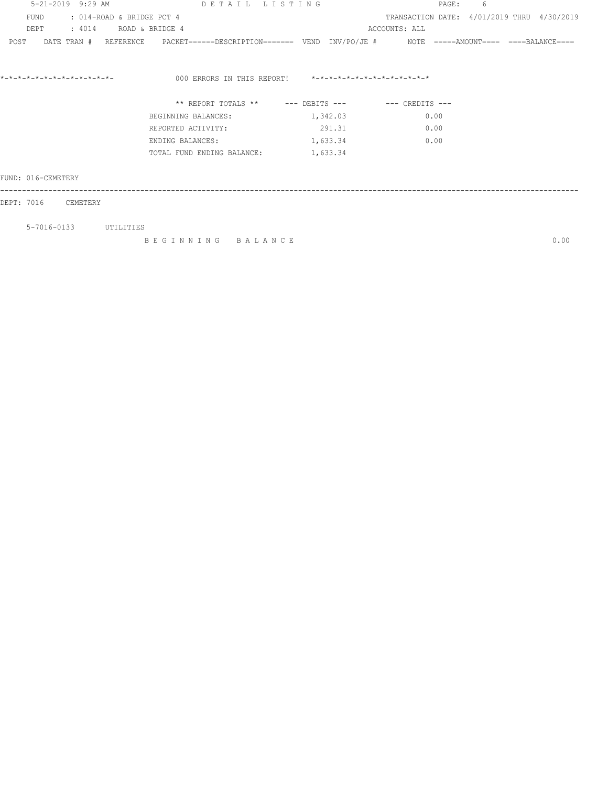| 5-21-2019 9:29 AM                 | DETAIL LISTING                                                                                            |          | PAGE:         | 6                                          |
|-----------------------------------|-----------------------------------------------------------------------------------------------------------|----------|---------------|--------------------------------------------|
| FUND<br>: 014-ROAD & BRIDGE PCT 4 |                                                                                                           |          |               | TRANSACTION DATE: 4/01/2019 THRU 4/30/2019 |
| DEPT                              | : 4014 ROAD & BRIDGE 4                                                                                    |          | ACCOUNTS: ALL |                                            |
| POST                              | DATE TRAN # REFERENCE PACKET=====DESCRIPTION======= VEND INV/PO/JE # NOTE =====AMOUNT==== ====BALANCE==== |          |               |                                            |
|                                   | 000 ERRORS IN THIS REPORT! *-*-*-*-*-*-*-*-*-*-*-*-*-*-                                                   |          |               |                                            |
|                                   | ** REPORT TOTALS ** --- DEBITS --- -- CREDITS ---                                                         |          |               |                                            |
|                                   | BEGINNING BALANCES:                                                                                       | 1,342.03 | 0.00          |                                            |
|                                   | REPORTED ACTIVITY:                                                                                        | 291.31   | 0.00          |                                            |
|                                   | ENDING BALANCES:                                                                                          | 1,633.34 | 0.00          |                                            |
|                                   | TOTAL FUND ENDING BALANCE:                                                                                | 1,633.34 |               |                                            |
| FUND: 016-CEMETERY                |                                                                                                           |          |               |                                            |
| DEPT: 7016 CEMETERY               |                                                                                                           |          |               |                                            |
| 5-7016-0133 UTILITIES             |                                                                                                           |          |               |                                            |
|                                   | BEGINNING BALANCE                                                                                         |          |               | 0.00                                       |